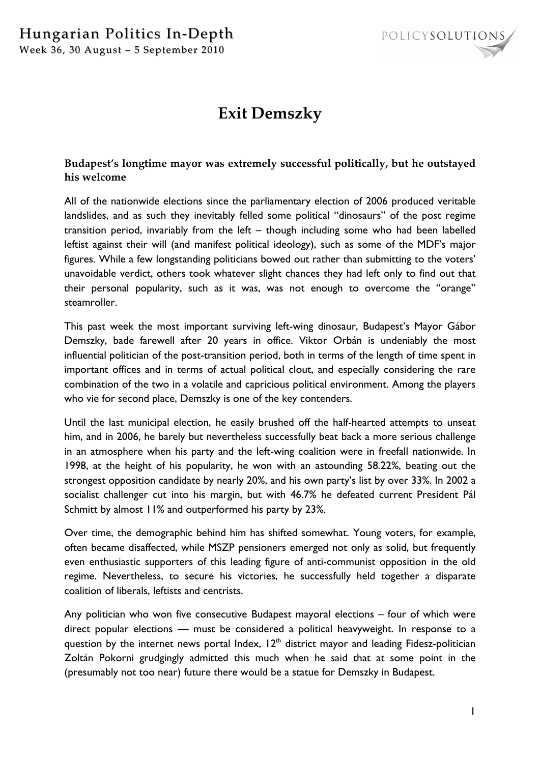

## **Exit Demszky**

## **Budapest's longtime mayor was extremely successful politically, but he outstayed his welcome**

All of the nationwide elections since the parliamentary election of 2006 produced veritable landslides, and as such they inevitably felled some political "dinosaurs" of the post regime transition period, invariably from the left – though including some who had been labelled leftist against their will (and manifest political ideology), such as some of the MDF's major figures. While a few longstanding politicians bowed out rather than submitting to the voters' unavoidable verdict, others took whatever slight chances they had left only to find out that their personal popularity, such as it was, was not enough to overcome the "orange" steamroller.

This past week the most important surviving left-wing dinosaur, Budapest's Mayor Gábor Demszky, bade farewell after 20 years in office. Viktor Orbán is undeniably the most influential politician of the post-transition period, both in terms of the length of time spent in important offices and in terms of actual political clout, and especially considering the rare combination of the two in a volatile and capricious political environment. Among the players who vie for second place, Demszky is one of the key contenders.

Until the last municipal election, he easily brushed off the half-hearted attempts to unseat him, and in 2006, he barely but nevertheless successfully beat back a more serious challenge in an atmosphere when his party and the left-wing coalition were in freefall nationwide. In 1998, at the height of his popularity, he won with an astounding 58.22%, beating out the strongest opposition candidate by nearly 20%, and his own party's list by over 33%. In 2002 a socialist challenger cut into his margin, but with 46.7% he defeated current President Pál Schmitt by almost 11% and outperformed his party by 23%.

Over time, the demographic behind him has shifted somewhat. Young voters, for example, often became disaffected, while MSZP pensioners emerged not only as solid, but frequently even enthusiastic supporters of this leading figure of anti-communist opposition in the old regime. Nevertheless, to secure his victories, he successfully held together a disparate coalition of liberals, leftists and centrists.

Any politician who won five consecutive Budapest mayoral elections – four of which were direct popular elections – must be considered a political heavyweight. In response to a question by the internet news portal Index,  $12<sup>th</sup>$  district mayor and leading Fidesz-politician Zoltán Pokorni grudgingly admitted this much when he said that at some point in the (presumably not too near) future there would be a statue for Demszky in Budapest.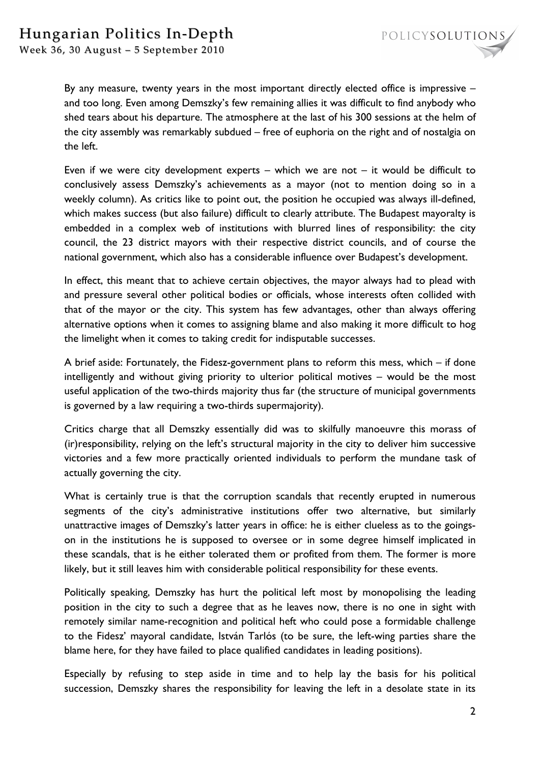

Week 36, 30 August – 5 September 2010

By any measure, twenty years in the most important directly elected office is impressive – and too long. Even among Demszky's few remaining allies it was difficult to find anybody who shed tears about his departure. The atmosphere at the last of his 300 sessions at the helm of the city assembly was remarkably subdued – free of euphoria on the right and of nostalgia on the left.

Even if we were city development experts – which we are not  $-$  it would be difficult to conclusively assess Demszky's achievements as a mayor (not to mention doing so in a weekly column). As critics like to point out, the position he occupied was always ill-defined, which makes success (but also failure) difficult to clearly attribute. The Budapest mayoralty is embedded in a complex web of institutions with blurred lines of responsibility: the city council, the 23 district mayors with their respective district councils, and of course the national government, which also has a considerable influence over Budapest's development.

In effect, this meant that to achieve certain objectives, the mayor always had to plead with and pressure several other political bodies or officials, whose interests often collided with that of the mayor or the city. This system has few advantages, other than always offering alternative options when it comes to assigning blame and also making it more difficult to hog the limelight when it comes to taking credit for indisputable successes.

A brief aside: Fortunately, the Fidesz-government plans to reform this mess, which – if done intelligently and without giving priority to ulterior political motives – would be the most useful application of the two-thirds majority thus far (the structure of municipal governments is governed by a law requiring a two-thirds supermajority).

Critics charge that all Demszky essentially did was to skilfully manoeuvre this morass of (ir)responsibility, relying on the left's structural majority in the city to deliver him successive victories and a few more practically oriented individuals to perform the mundane task of actually governing the city.

What is certainly true is that the corruption scandals that recently erupted in numerous segments of the city's administrative institutions offer two alternative, but similarly unattractive images of Demszky's latter years in office: he is either clueless as to the goingson in the institutions he is supposed to oversee or in some degree himself implicated in these scandals, that is he either tolerated them or profited from them. The former is more likely, but it still leaves him with considerable political responsibility for these events.

Politically speaking, Demszky has hurt the political left most by monopolising the leading position in the city to such a degree that as he leaves now, there is no one in sight with remotely similar name-recognition and political heft who could pose a formidable challenge to the Fidesz' mayoral candidate, István Tarlós (to be sure, the left-wing parties share the blame here, for they have failed to place qualified candidates in leading positions).

Especially by refusing to step aside in time and to help lay the basis for his political succession, Demszky shares the responsibility for leaving the left in a desolate state in its